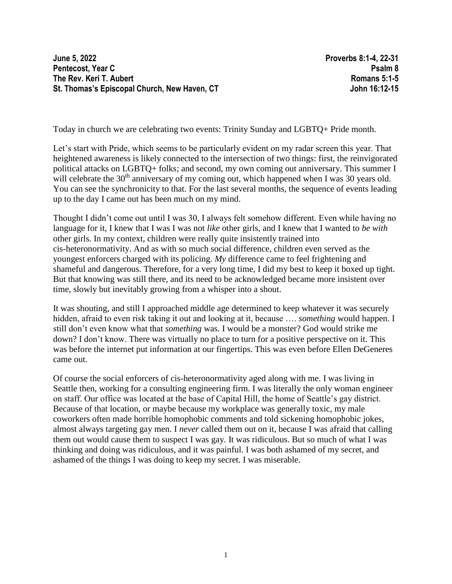**June 5, 2022 Proverbs 8:1-4, 22-31 Pentecost, Year C Psalm 8 The Rev. Keri T. Aubert Romans 5:1-5 St. Thomas's Episcopal Church, New Haven, CT John 16:12-15**

Today in church we are celebrating two events: Trinity Sunday and LGBTQ+ Pride month.

Let's start with Pride, which seems to be particularly evident on my radar screen this year. That heightened awareness is likely connected to the intersection of two things: first, the reinvigorated political attacks on LGBTQ+ folks; and second, my own coming out anniversary. This summer I will celebrate the  $30<sup>th</sup>$  anniversary of my coming out, which happened when I was 30 years old. You can see the synchronicity to that. For the last several months, the sequence of events leading up to the day I came out has been much on my mind.

Thought I didn't come out until I was 30, I always felt somehow different. Even while having no language for it, I knew that I was I was not *like* other girls, and I knew that I wanted to *be with* other girls. In my context, children were really quite insistently trained into cis-heteronormativity. And as with so much social difference, children even served as the youngest enforcers charged with its policing. *My* difference came to feel frightening and shameful and dangerous. Therefore, for a very long time, I did my best to keep it boxed up tight. But that knowing was still there, and its need to be acknowledged became more insistent over time, slowly but inevitably growing from a whisper into a shout.

It was shouting, and still I approached middle age determined to keep whatever it was securely hidden, afraid to even risk taking it out and looking at it, because …. *something* would happen. I still don't even know what that *something* was. I would be a monster? God would strike me down? I don't know. There was virtually no place to turn for a positive perspective on it. This was before the internet put information at our fingertips. This was even before Ellen DeGeneres came out.

Of course the social enforcers of cis-heteronormativity aged along with me. I was living in Seattle then, working for a consulting engineering firm. I was literally the only woman engineer on staff. Our office was located at the base of Capital Hill, the home of Seattle's gay district. Because of that location, or maybe because my workplace was generally toxic, my male coworkers often made horrible homophobic comments and told sickening homophobic jokes, almost always targeting gay men. I *never* called them out on it, because I was afraid that calling them out would cause them to suspect I was gay. It was ridiculous. But so much of what I was thinking and doing was ridiculous, and it was painful. I was both ashamed of my secret, and ashamed of the things I was doing to keep my secret. I was miserable.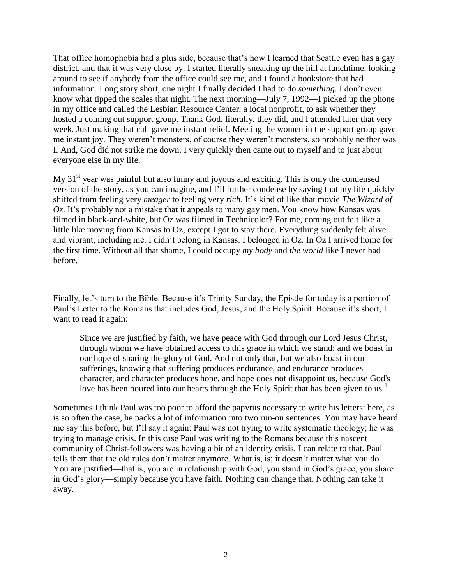That office homophobia had a plus side, because that's how I learned that Seattle even has a gay district, and that it was very close by. I started literally sneaking up the hill at lunchtime, looking around to see if anybody from the office could see me, and I found a bookstore that had information. Long story short, one night I finally decided I had to do *something*. I don't even know what tipped the scales that night. The next morning—July 7, 1992—I picked up the phone in my office and called the Lesbian Resource Center, a local nonprofit, to ask whether they hosted a coming out support group. Thank God, literally, they did, and I attended later that very week. Just making that call gave me instant relief. Meeting the women in the support group gave me instant joy. They weren't monsters, of course they weren't monsters, so probably neither was I. And, God did not strike me down. I very quickly then came out to myself and to just about everyone else in my life.

My  $31<sup>st</sup>$  year was painful but also funny and joyous and exciting. This is only the condensed version of the story, as you can imagine, and I'll further condense by saying that my life quickly shifted from feeling very *meager* to feeling very *rich*. It's kind of like that movie *The Wizard of Oz*. It's probably not a mistake that it appeals to many gay men. You know how Kansas was filmed in black-and-white, but Oz was filmed in Technicolor? For me, coming out felt like a little like moving from Kansas to Oz, except I got to stay there. Everything suddenly felt alive and vibrant, including me. I didn't belong in Kansas. I belonged in Oz. In Oz I arrived home for the first time. Without all that shame, I could occupy *my body* and *the world* like I never had before.

Finally, let's turn to the Bible. Because it's Trinity Sunday, the Epistle for today is a portion of Paul's Letter to the Romans that includes God, Jesus, and the Holy Spirit. Because it's short, I want to read it again:

Since we are justified by faith, we have peace with God through our Lord Jesus Christ, through whom we have obtained access to this grace in which we stand; and we boast in our hope of sharing the glory of God. And not only that, but we also boast in our sufferings, knowing that suffering produces endurance, and endurance produces character, and character produces hope, and hope does not disappoint us, because God's love has been poured into our hearts through the Holy Spirit that has been given to us.<sup>1</sup>

Sometimes I think Paul was too poor to afford the papyrus necessary to write his letters: here, as is so often the case, he packs a lot of information into two run-on sentences. You may have heard me say this before, but I'll say it again: Paul was not trying to write systematic theology; he was trying to manage crisis. In this case Paul was writing to the Romans because this nascent community of Christ-followers was having a bit of an identity crisis. I can relate to that. Paul tells them that the old rules don't matter anymore. What is, is; it doesn't matter what you do. You are justified—that is, you are in relationship with God, you stand in God's grace, you share in God's glory—simply because you have faith. Nothing can change that. Nothing can take it away.